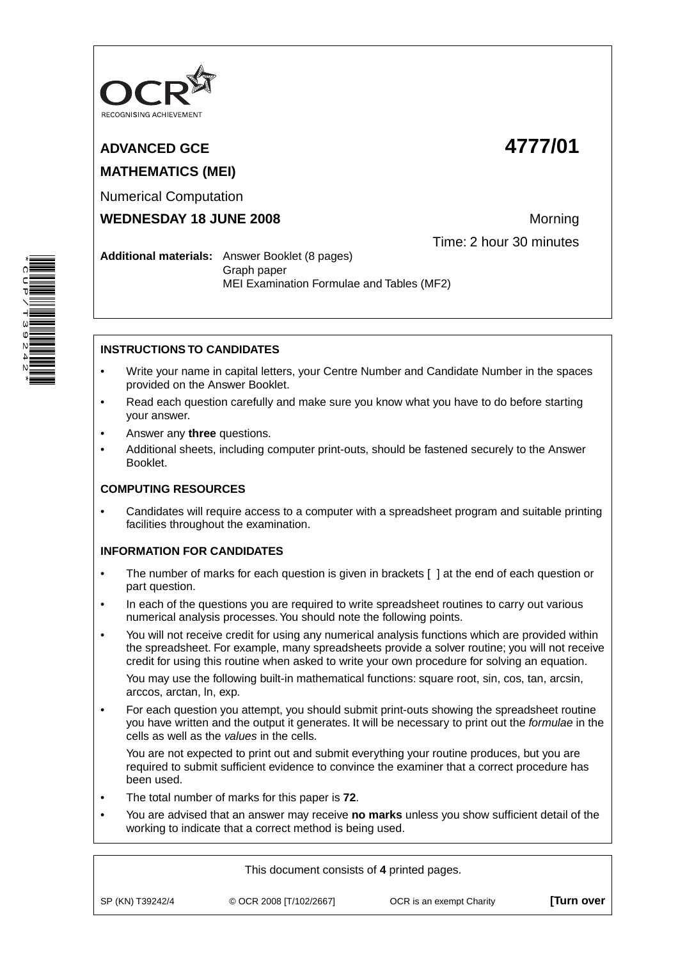

# **ADVANCED GCE 4777/01 MATHEMATICS (MEI)**

Numerical Computation

**WEDNESDAY 18 JUNE 2008** Morning

Time: 2 hour 30 minutes

# **Additional materials:** Answer Booklet (8 pages) Graph paper MEI Examination Formulae and Tables (MF2)

# **INSTRUCTIONS TO CANDIDATES**

- Write your name in capital letters, your Centre Number and Candidate Number in the spaces provided on the Answer Booklet.
- Read each question carefully and make sure you know what you have to do before starting your answer.
- Answer any **three** questions.
- Additional sheets, including computer print-outs, should be fastened securely to the Answer Booklet.

# **COMPUTING RESOURCES**

• Candidates will require access to a computer with a spreadsheet program and suitable printing facilities throughout the examination.

# **INFORMATION FOR CANDIDATES**

- The number of marks for each question is given in brackets [ ] at the end of each question or part question.
- In each of the questions you are required to write spreadsheet routines to carry out various numerical analysis processes. You should note the following points.
- You will not receive credit for using any numerical analysis functions which are provided within the spreadsheet. For example, many spreadsheets provide a solver routine; you will not receive credit for using this routine when asked to write your own procedure for solving an equation.

 You may use the following built-in mathematical functions: square root, sin, cos, tan, arcsin, arccos, arctan, ln, exp.

• For each question you attempt, you should submit print-outs showing the spreadsheet routine you have written and the output it generates. It will be necessary to print out the *formulae* in the cells as well as the *values* in the cells.

 You are not expected to print out and submit everything your routine produces, but you are required to submit sufficient evidence to convince the examiner that a correct procedure has been used.

- The total number of marks for this paper is **72**.
- You are advised that an answer may receive **no marks** unless you show sufficient detail of the working to indicate that a correct method is being used.

This document consists of **4** printed pages.

SP (KN) T39242/4 © OCR 2008 [T/102/2667] OCR is an exempt Charity **[Turn over**

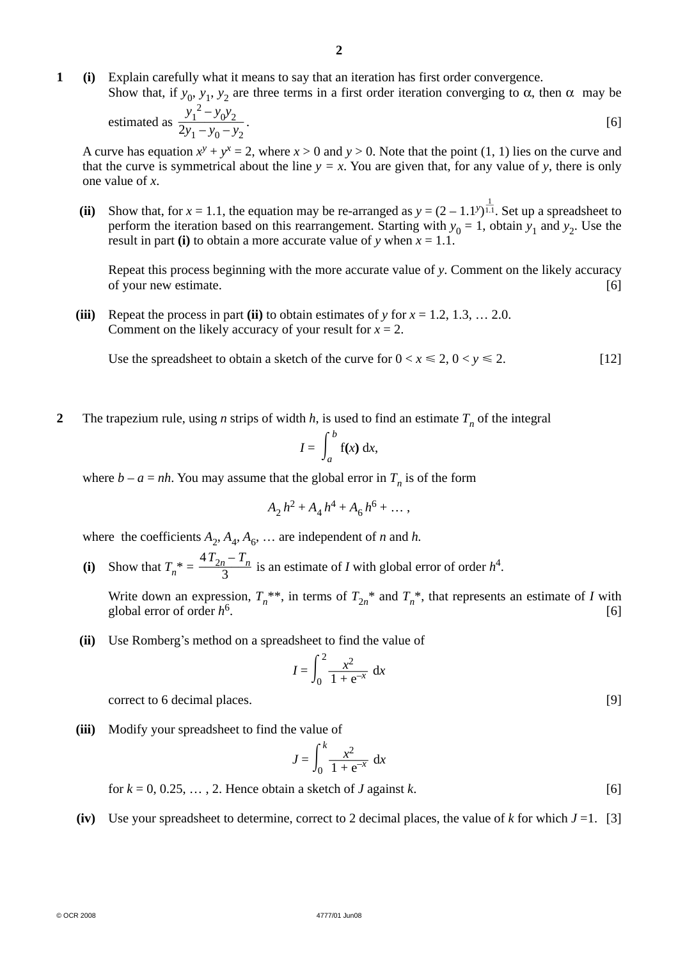- **1 (i)** Explain carefully what it means to say that an iteration has first order convergence.
- Show that, if *y*<sub>0</sub>, *y*<sub>1</sub>, *y*<sub>2</sub> are three terms in a first order iteration converging to α, then α may be estimated as  $\frac{y_1}{2y_1}$  $v^2 - v^2$

estimated as 
$$
\frac{y_1}{2y_1 - y_0 - y_2}
$$
. [6]

A curve has equation  $x^y + y^x = 2$ , where  $x > 0$  and  $y > 0$ . Note that the point (1, 1) lies on the curve and that the curve is symmetrical about the line  $y = x$ . You are given that, for any value of y, there is only one value of *x*.

(ii) Show that, for  $x = 1.1$ , the equation may be re-arranged as  $y = (2 - 1.1^y)^{\frac{1}{1.1}}$ . Set up a spreadsheet to perform the iteration based on this rearrangement. Starting with  $y_0 = 1$ , obtain  $y_1$  and  $y_2$ . Use the result in part **(i)** to obtain a more accurate value of *y* when  $x = 1.1$ .

Repeat this process beginning with the more accurate value of *y*. Comment on the likely accuracy of your new estimate. [6]

**(iii)** Repeat the process in part **(ii)** to obtain estimates of *y* for  $x = 1.2, 1.3, \ldots, 2.0$ . Comment on the likely accuracy of your result for  $x = 2$ .

Use the spreadsheet to obtain a sketch of the curve for  $0 < x \le 2$ ,  $0 < y \le 2$ . [12]

**2** The trapezium rule, using *n* strips of width *h*, is used to find an estimate  $T<sub>n</sub>$  of the integral

$$
I = \int_a^b f(x) \, dx,
$$

where  $b - a = nh$ . You may assume that the global error in  $T_n$  is of the form

$$
A_2 h^2 + A_4 h^4 + A_6 h^6 + \dots,
$$

where the coefficients  $A_2$ ,  $A_4$ ,  $A_6$ , ... are independent of *n* and *h*.

(i) Show that  $T_n^* = \frac{4T_{2n} - T_n}{3}$  is an estimate of *I* with global error of order  $h^4$ .

Write down an expression,  $T_n^{**}$ , in terms of  $T_{2n}^{*}$  and  $T_n^{*}$ , that represents an estimate of *I* with global error of order  $h^6$ .  $h^6$  and  $h^6$  and  $h^6$  and  $h^6$  and  $h^6$  and  $h^6$  and  $h^6$  and  $h^6$  and  $h^6$  and  $h^6$  and  $h^6$  and  $h^6$  and  $h^6$  and  $h^6$  and  $h^6$  and  $h^6$  and  $h^6$  and  $h^6$  and  $h^6$  and  $h$ 

 **(ii)** Use Romberg's method on a spreadsheet to find the value of

$$
I = \int_0^2 \frac{x^2}{1 + e^{-x}} dx
$$

**correct to 6 decimal places.** [9]

 **(iii)** Modify your spreadsheet to find the value of

$$
J = \int_0^k \frac{x^2}{1 + e^{-x}} dx
$$

 $\text{for } k = 0, 0.25, \ldots, 2.$  Hence obtain a sketch of *J* against *k*. [6]

**(iv)** Use your spreadsheet to determine, correct to 2 decimal places, the value of  $k$  for which  $J = 1$ . [3]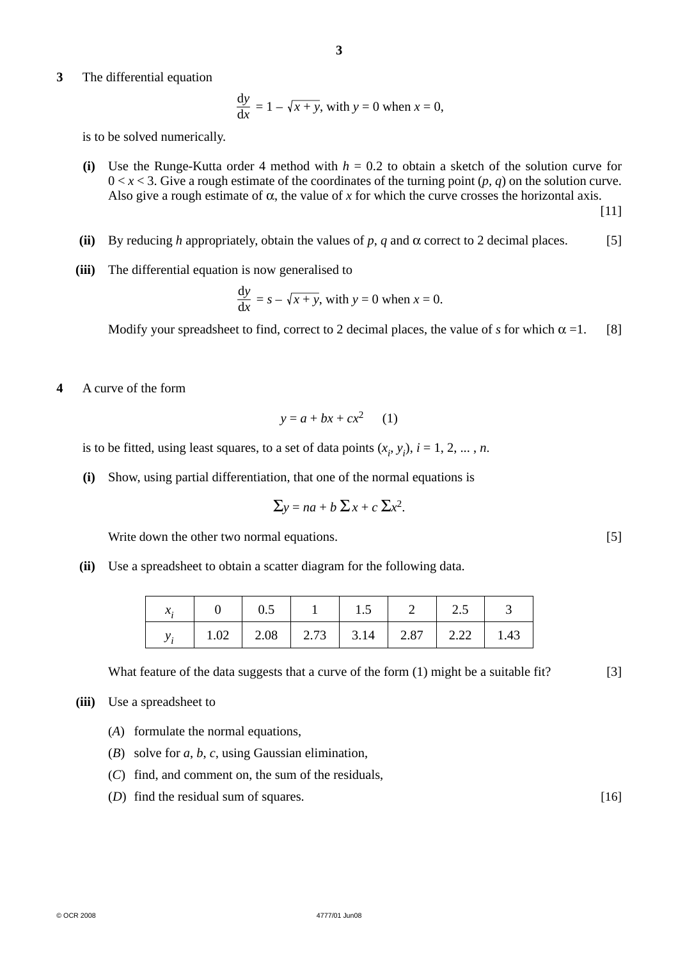**3** The differential equation

$$
\frac{dy}{dx} = 1 - \sqrt{x + y}, \text{ with } y = 0 \text{ when } x = 0,
$$

is to be solved numerically.

**(i)** Use the Runge-Kutta order 4 method with  $h = 0.2$  to obtain a sketch of the solution curve for  $0 < x < 3$ . Give a rough estimate of the coordinates of the turning point  $(p, q)$  on the solution curve. Also give a rough estimate of  $\alpha$ , the value of x for which the curve crosses the horizontal axis.

[11]

- **(ii)** By reducing *h* appropriately, obtain the values of *p*, *q* and  $\alpha$  correct to 2 decimal places. [5]
- **(iii)** The differential equation is now generalised to

$$
\frac{dy}{dx} = s - \sqrt{x + y}, \text{ with } y = 0 \text{ when } x = 0.
$$

**Modify your spreadsheet to find, correct to 2 decimal places, the value of** *s* **for which**  $\alpha =1$ **. [8]** 

**4** A curve of the form

$$
y = a + bx + cx^2 \qquad (1)
$$

is to be fitted, using least squares, to a set of data points  $(x_i, y_i)$ ,  $i = 1, 2, ..., n$ .

 **(i)** Show, using partial differentiation, that one of the normal equations is

$$
\Sigma y = na + b \Sigma x + c \Sigma x^2.
$$

Write down the other two normal equations. [5]

 **(ii)** Use a spreadsheet to obtain a scatter diagram for the following data.

| л. |      | 0.5 | 1.5                                     | 2.5 |  |
|----|------|-----|-----------------------------------------|-----|--|
|    | 1.02 |     | 2.08   2.73   3.14   2.87   2.22   1.43 |     |  |

What feature of the data suggests that a curve of the form (1) might be a suitable fit? [3]

- **(iii)** Use a spreadsheet to
	- (*A*) formulate the normal equations,
	- (*B*) solve for *a*, *b*, *c*, using Gaussian elimination,
	- (*C*) find, and comment on, the sum of the residuals,
	- (*D*) find the residual sum of squares. [16]